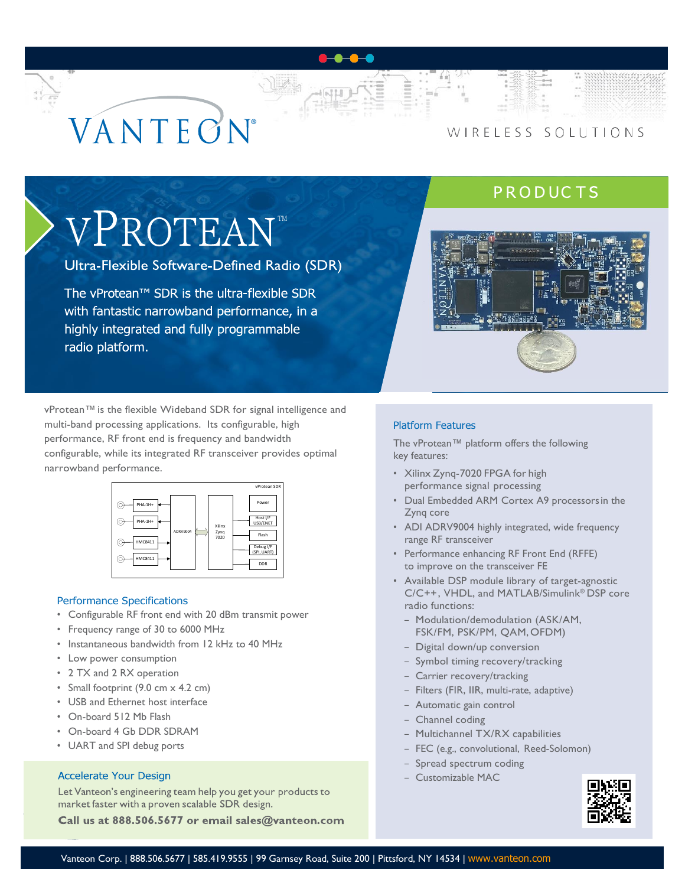# VANTECN

## WIRELESS SOLUTIONS

# **PRODUCTS**

# VPROTEANT

Ultra-Flexible Software-Defined Radio (SDR)

The vProtean™ SDR is the ultra-flexible SDR with fantastic narrowband performance, in a highly integrated and fully programmable radio platform.



vProtean™ is the flexible Wideband SDR for signal intelligence and multi-band processing applications. Its configurable, high performance, RF front end is frequency and bandwidth configurable, while its integrated RF transceiver provides optimal narrowband performance.



#### Performance Specifications

- Configurable RF front end with 20 dBm transmit power
- Frequency range of 30 to 6000 MHz
- Instantaneous bandwidth from 12 kHz to 40 MHz
- Low power consumption
- 2 TX and 2 RX operation
- Small footprint (9.0 cm x 4.2 cm)
- USB and Ethernet host interface
- On-board 512 Mb Flash
- On-board 4 Gb DDR SDRAM
- UART and SPI debug ports

#### **Accelerate Your Design**

Let Vanteon's engineering team help you get your products to market faster with a proven scalable SDR design.

Call us at 888.506.5677 or email sales@vanteon.com

#### Platform Features

The vProtean™ platform offers the following key features:

- Xilinx Zynq-7020 FPGA for high performance signal processing
- Dual Embedded ARM Cortex A9 processorsin the Zynq core
- ADI ADRV9004 highly integrated, wide frequency range RF transceiver
- Performance enhancing RF Front End (RFFE) to improve on the transceiver FE
- Available DSP module library of target-agnostic C/C++, VHDL, and MATLAB/Simulink® DSP core radio functions:
	- Modulation/demodulation (ASK/AM, FSK/FM, PSK/PM, QAM, OFDM)
	- Digital down/up conversion
	- Symbol timing recovery/tracking
	- Carrier recovery/tracking
	- Filters (FIR, IIR, multi-rate, adaptive)
	- Automatic gain control
	- Channel coding
	- Multichannel TX/RX capabilities
	- FEC (e.g., convolutional, Reed-Solomon)
	- Spread spectrum coding
	- Customizable MAC

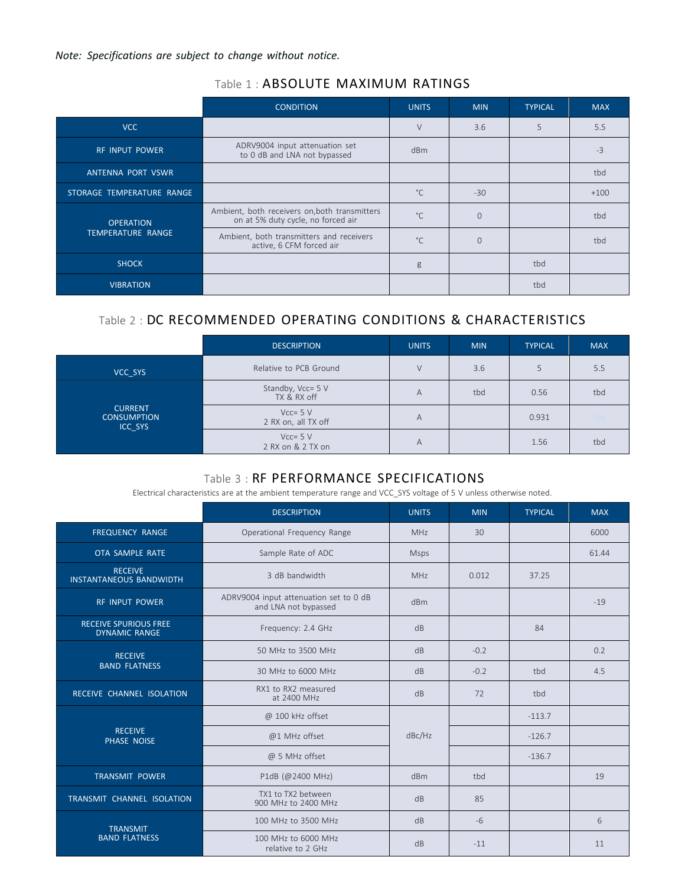*Note: Specifications are subject to change without notice.*

| Table 1 : ABSOLUTE MAXIMUM RATINGS |  |
|------------------------------------|--|
|------------------------------------|--|

|                                       | <b>CONDITION</b>                                                                    | <b>UNITS</b> | <b>MIN</b> | <b>TYPICAL</b> | <b>MAX</b> |
|---------------------------------------|-------------------------------------------------------------------------------------|--------------|------------|----------------|------------|
| VCC                                   |                                                                                     | $\vee$       | 3.6        | 5              | 5.5        |
| <b>RF INPUT POWER</b>                 | ADRV9004 input attenuation set<br>to 0 dB and LNA not bypassed                      | dBm          |            |                | $-3$       |
| ANTENNA PORT VSWR                     |                                                                                     |              |            |                | tbd        |
| STORAGE TEMPERATURE RANGE             |                                                                                     | $^{\circ}$ C | $-30$      |                | $+100$     |
| <b>OPERATION</b><br>TEMPERATURE RANGE | Ambient, both receivers on, both transmitters<br>on at 5% duty cycle, no forced air | $^{\circ}$ C | $\Omega$   |                | tbd        |
|                                       | Ambient, both transmitters and receivers<br>active, 6 CFM forced air                | $^{\circ}$ C | $\Omega$   |                | tbd        |
| <b>SHOCK</b>                          |                                                                                     | g            |            | tbd            |            |
| <b>VIBRATION</b>                      |                                                                                     |              |            | tbd            |            |

### Table 2 : DC RECOMMENDED OPERATING CONDITIONS & CHARACTERISTICS

|                                                 | <b>DESCRIPTION</b>                    | <b>UNITS</b> | <b>MIN</b> | <b>TYPICAL</b> | <b>MAX</b> |
|-------------------------------------------------|---------------------------------------|--------------|------------|----------------|------------|
| VCC SYS                                         | Relative to PCB Ground                | $\vee$       | 3.6        |                | 5.5        |
| <b>CURRENT</b><br><b>CONSUMPTION</b><br>ICC SYS | Standby, Vcc= 5 V<br>A<br>TX & RX off |              | tbd        | 0.56           | tbd        |
|                                                 | $Vcc = 5 V$<br>2 RX on, all TX off    | A            |            | 0.931          | tbd        |
|                                                 | $Vcc = 5 V$<br>2 RX on & 2 TX on      | A            |            | 1.56           | tbd        |

# Table 3 : RF PERFORMANCE SPECIFICATIONS

Electrical characteristics are at the ambient temperature range and VCC\_SYS voltage of 5 V unless otherwise noted.

|                                                                         | <b>DESCRIPTION</b>                                             | <b>UNITS</b> | <b>MIN</b> | <b>TYPICAL</b> | <b>MAX</b> |
|-------------------------------------------------------------------------|----------------------------------------------------------------|--------------|------------|----------------|------------|
| <b>FREQUENCY RANGE</b>                                                  | Operational Frequency Range                                    | <b>MHz</b>   | 30         |                | 6000       |
| OTA SAMPLE RATE                                                         | Sample Rate of ADC                                             | <b>Msps</b>  |            |                | 61.44      |
| <b>RECEIVE</b><br><b>INSTANTANEOUS BANDWIDTH</b>                        | 3 dB bandwidth                                                 | <b>MHz</b>   | 0.012      | 37.25          |            |
| <b>RF INPUT POWER</b>                                                   | ADRV9004 input attenuation set to 0 dB<br>and LNA not bypassed | dBm          |            |                | $-19$      |
| <b>RECEIVE SPURIOUS FREE</b><br><b>DYNAMIC RANGE</b>                    | Frequency: 2.4 GHz                                             | dB           |            | 84             |            |
| <b>RECEIVE</b>                                                          | dB<br>50 MHz to 3500 MHz                                       |              | $-0.2$     |                | 0.2        |
| <b>BAND FLATNESS</b>                                                    | 30 MHz to 6000 MHz<br>dB                                       |              | $-0.2$     | tbd            | 4.5        |
| RECEIVE CHANNEL ISOLATION                                               | RX1 to RX2 measured<br>at 2400 MHz                             |              | 72         | tbd            |            |
|                                                                         | @ 100 kHz offset                                               |              |            | $-113.7$       |            |
| <b>RECEIVE</b><br>PHASE NOISE                                           | @1 MHz offset                                                  | dBc/Hz       |            | $-126.7$       |            |
|                                                                         | @ 5 MHz offset                                                 |              |            | $-136.7$       |            |
| <b>TRANSMIT POWER</b>                                                   | P1dB (@2400 MHz)                                               |              | tbd        |                | 19         |
| TX1 to TX2 between<br>TRANSMIT CHANNEL ISOLATION<br>900 MHz to 2400 MHz |                                                                | dB           | 85         |                |            |
| <b>TRANSMIT</b>                                                         | 100 MHz to 3500 MHz                                            | dB           | $-6$       |                | 6          |
| <b>BAND FLATNESS</b>                                                    | 100 MHz to 6000 MHz<br>relative to 2 GHz                       | dB           | $-11$      |                | 11         |